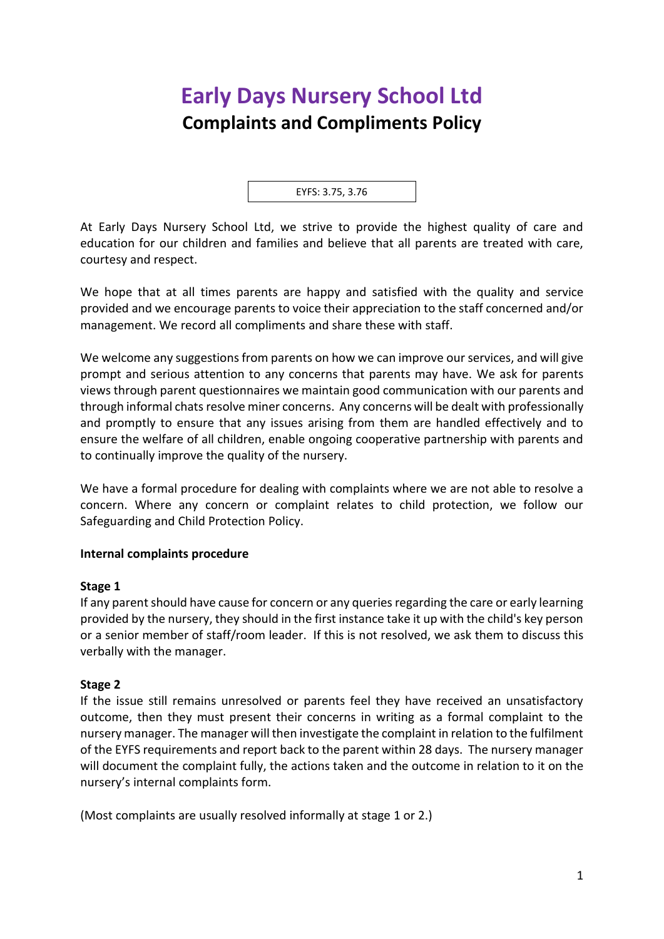# **Early Days Nursery School Ltd Complaints and Compliments Policy**

EYFS: 3.75, 3.76

At Early Days Nursery School Ltd, we strive to provide the highest quality of care and education for our children and families and believe that all parents are treated with care, courtesy and respect.

We hope that at all times parents are happy and satisfied with the quality and service provided and we encourage parents to voice their appreciation to the staff concerned and/or management. We record all compliments and share these with staff.

We welcome any suggestions from parents on how we can improve our services, and will give prompt and serious attention to any concerns that parents may have. We ask for parents views through parent questionnaires we maintain good communication with our parents and through informal chats resolve miner concerns. Any concerns will be dealt with professionally and promptly to ensure that any issues arising from them are handled effectively and to ensure the welfare of all children, enable ongoing cooperative partnership with parents and to continually improve the quality of the nursery.

We have a formal procedure for dealing with complaints where we are not able to resolve a concern. Where any concern or complaint relates to child protection, we follow our Safeguarding and Child Protection Policy.

## **Internal complaints procedure**

#### **Stage 1**

If any parent should have cause for concern or any queries regarding the care or early learning provided by the nursery, they should in the first instance take it up with the child's key person or a senior member of staff/room leader. If this is not resolved, we ask them to discuss this verbally with the manager.

#### **Stage 2**

If the issue still remains unresolved or parents feel they have received an unsatisfactory outcome, then they must present their concerns in writing as a formal complaint to the nursery manager. The manager will then investigate the complaint in relation to the fulfilment of the EYFS requirements and report back to the parent within 28 days. The nursery manager will document the complaint fully, the actions taken and the outcome in relation to it on the nursery's internal complaints form.

(Most complaints are usually resolved informally at stage 1 or 2.)